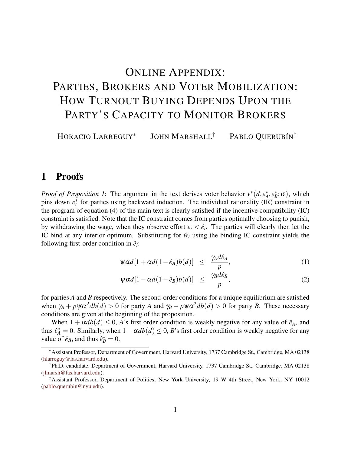# <span id="page-0-0"></span>ONLINE APPENDIX: PARTIES, BROKERS AND VOTER MOBILIZATION: HOW TURNOUT BUYING DEPENDS UPON THE PARTY'S CAPACITY TO MONITOR BROKERS

HORACIO LARREGUY<sup>∗</sup> JOHN MARSHALL<sup>†</sup> PABLO OUERUBÍN<sup>‡</sup>

#### 1 Proofs

*Proof of Proposition 1:* The argument in the text derives voter behavior  $v^*(d, e^*_A)$  $A^*_{A}, e^*_{B}; \sigma$ , which pins down  $e_i^*$  for parties using backward induction. The individual rationality  $(\hat{IR})$  constraint in the program of equation (4) of the main text is clearly satisfied if the incentive compatibility (IC) constraint is satisfied. Note that the IC constraint comes from parties optimally choosing to punish, by withdrawing the wage, when they observe effort  $e_i < \hat{e}_i$ . The parties will clearly then let the IC bind at any interior optimum. Substituting for  $\hat{w}_i$  using the binding IC constraint yields the following first-order condition in  $\hat{e}_i$ :

$$
\psi \alpha d[1 + \alpha d(1 - \hat{e}_A) b(d)] \leq \frac{\gamma_A d\hat{e}_A}{p}, \qquad (1)
$$

$$
\psi \alpha d[1 - \alpha d(1 - \hat{e}_B) b(d)] \leq \frac{\gamma_B d\hat{e}_B}{p}, \qquad (2)
$$

for parties *A* and *B* respectively. The second-order conditions for a unique equilibrium are satisfied when  $\gamma_A + p\psi \alpha^2 db(d) > 0$  for party *A* and  $\gamma_B - p\psi \alpha^2 db(d) > 0$  for party *B*. These necessary conditions are given at the beginning of the proposition.

When  $1 + \alpha d b(d) \leq 0$ , *A*'s first order condition is weakly negative for any value of  $\hat{e}_A$ , and thus  $\hat{e}^*_{A} = 0$ . Similarly, when  $1 - \alpha db(d) \leq 0$ , *B*'s first order condition is weakly negative for any value of  $\hat{e}_B$ , and thus  $\hat{e}_B^* = 0$ .

<sup>∗</sup>Assistant Professor, Department of Government, Harvard University, 1737 Cambridge St., Cambridge, MA 02138 [\(hlarreguy@fas.harvard.edu\)](mailto:hlarreguy@fas.harvard.edu).

<sup>†</sup>Ph.D. candidate, Department of Government, Harvard University, 1737 Cambridge St., Cambridge, MA 02138 [\(jlmarsh@fas.harvard.edu\)](mailto:jlmarsh@fas.harvard.edu).

<sup>‡</sup>Assistant Professor, Department of Politics, New York University, 19 W 4th Street, New York, NY 10012 [\(pablo.querubin@nyu.edu\)](mailto:pablo.querubin@nyu.edu).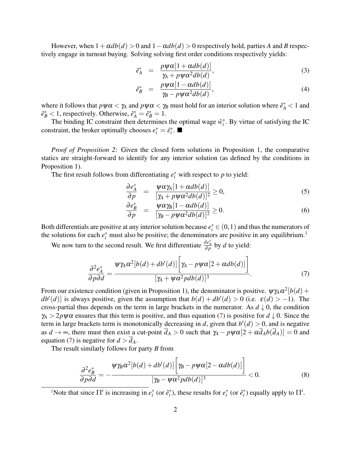However, when  $1 + \alpha d b(d) > 0$  and  $1 - \alpha d b(d) > 0$  respectively hold, parties *A* and *B* respectively engage in turnout buying. Solving solving first order conditions respectively yields:

$$
\hat{e}_A^* = \frac{p\psi\alpha[1+\alpha db(d)]}{\gamma_A + p\psi\alpha^2 db(d)},
$$
\n(3)

$$
\hat{e}_B^* = \frac{p\psi\alpha[1-\alpha db(d)]}{\gamma_B - p\psi\alpha^2 db(d)},
$$
\n(4)

where it follows that  $p\psi\alpha < \gamma_A$  and  $p\psi\alpha < \gamma_B$  must hold for an interior solution where  $\hat{e}^*_A < 1$  and  $\hat{e}_B^* < 1$ , respectively. Otherwise,  $\hat{e}_A^* = \hat{e}_B^* = 1$ .

The binding IC constraint then determines the optimal wage  $\hat{w}_i^*$ . By virtue of satisfying the IC constraint, the broker optimally chooses  $e_i^* = \hat{e}_i^*$ .

*Proof of Proposition 2*: Given the closed form solutions in Proposition 1, the comparative statics are straight-forward to identify for any interior solution (as defined by the conditions in Proposition 1).

The first result follows from differentiating  $e_i^*$  with respect to  $p$  to yield:

$$
\frac{\partial e_A^*}{\partial p} = \frac{\psi \alpha \gamma_A [1 + \alpha db(d)]}{[\gamma_A + p \psi \alpha^2 db(d)]^2} \ge 0,
$$
\n(5)

$$
\frac{\partial e_B^*}{\partial p} = \frac{\psi \alpha \gamma_B [1 - \alpha db(d)]}{[\gamma_B - p \psi \alpha^2 db(d)]^2} \ge 0.
$$
\n(6)

Both differentials are positive at any interior solution because  $e_i^* \in (0,1)$  and thus the numerators of the solutions for each  $e_i^*$  must also be positive; the denominators are positive in any equilibrium.<sup>[1](#page-0-0)</sup>

We now turn to the second result. We first differentiate  $\frac{\partial e^*_{A}}{\partial p}$  by *d* to yield:

<span id="page-1-0"></span>
$$
\frac{\partial^2 e_A^*}{\partial p \partial d} = \frac{\Psi \gamma_A \alpha^2 [b(d) + db'(d)] \left[ \gamma_A - p \psi \alpha [2 + \alpha db(d)] \right]}{[\gamma_A + \psi \alpha^2 p db(d)]^3}.
$$
(7)

From our existence condition (given in Proposition 1), the denominator is positive.  $\psi\gamma_A\alpha^2[b(d) + ]$  $db'(d)$  is always positive, given the assumption that  $b(d) + db'(d) > 0$  (i.e.  $\varepsilon(d) > -1$ ). The cross-partial thus depends on the term in large brackets in the numerator. As  $d \downarrow 0$ , the condition  $\gamma_A > 2p\psi\alpha$  ensures that this term is positive, and thus equation [\(7\)](#page-1-0) is positive for  $d \downarrow 0$ . Since the term in large brackets term is monotonically decreasing in *d*, given that  $b'(d) > 0$ , and is negative as  $d \rightarrow \infty$ , there must then exist a cut-point  $\overline{d}_A > 0$  such that  $\gamma_A - p \psi \alpha [2 + \alpha \overline{d}_A b(\overline{d}_A)] = 0$  and equation [\(7\)](#page-1-0) is negative for  $d > d_A$ .

The result similarly follows for party *B* from

$$
\frac{\partial^2 e_B^*}{\partial p \partial d} = -\frac{\Psi \gamma_B \alpha^2 [b(d) + db'(d)] \left[ \gamma_B - p \psi \alpha [2 - \alpha db(d)] \right]}{[\gamma_B - \psi \alpha^2 p db(d)]^3} < 0.
$$
\n(8)

<sup>1</sup>Note that since  $\Pi^i$  is increasing in  $e_i^*$  (or  $\hat{e}_i^*$ ), these results for  $e_i^*$  (or  $\hat{e}_i^*$ ) equally apply to  $\Pi^i$ .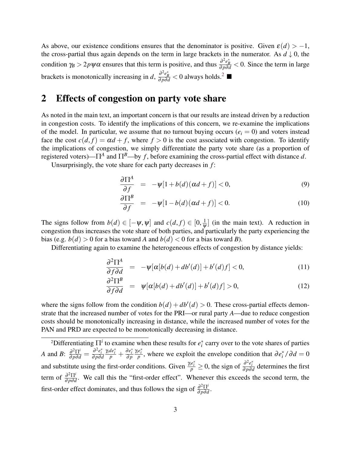As above, our existence conditions ensures that the denominator is positive. Given  $\varepsilon(d) > -1$ , the cross-partial thus again depends on the term in large brackets in the numerator. As  $d \downarrow 0$ , the condition  $\gamma_B > 2p\psi\alpha$  ensures that this term is positive, and thus  $\frac{\partial^2 e_B^*}{\partial p \partial d} < 0$ . Since the term in large brackets is monotonically increasing in *d*,  $\frac{\partial^2 e_B^*}{\partial p \partial d}$  $\frac{\partial^2 e_B^*}{\partial p \partial d}$  $\frac{\partial^2 e_B^*}{\partial p \partial d}$  < 0 always holds.<sup>2</sup> ■

### 2 Effects of congestion on party vote share

As noted in the main text, an important concern is that our results are instead driven by a reduction in congestion costs. To identify the implications of this concern, we re-examine the implications of the model. In particular, we assume that no turnout buying occurs ( $e_i = 0$ ) and voters instead face the cost  $c(d, f) = \alpha d + f$ , where  $f > 0$  is the cost associated with congestion. To identify the implications of congestion, we simply differentiate the party vote share (as a proportion of registered voters)—Π*<sup>A</sup>* and Π*B*—by *f* , before examining the cross-partial effect with distance *d*.

Unsurprisingly, the vote share for each party decreases in *f* :

$$
\frac{\partial \Pi^A}{\partial f} = -\psi[1+b(d)(\alpha d + f)] < 0,\tag{9}
$$

$$
\frac{\partial \Pi^B}{\partial f} = -\psi[1 - b(d)(\alpha d + f)] < 0. \tag{10}
$$

The signs follow from  $b(d) \in [-\psi, \psi]$  and  $c(d, f) \in [0, \frac{1}{\psi}]$  (in the main text). A reduction in congestion thus increases the vote share of both parties, and particularly the party experiencing the bias (e.g.  $b(d) > 0$  for a bias toward *A* and  $b(d) < 0$  for a bias toward *B*).

Differentiating again to examine the heterogeneous effects of congestion by distance yields:

$$
\frac{\partial^2 \Pi^A}{\partial f \partial d} = -\psi[\alpha[b(d) + db'(d)] + b'(d)f] < 0,
$$
\n(11)

$$
\frac{\partial^2 \Pi^B}{\partial f \partial d} = \psi[\alpha[b(d) + db'(d)] + b'(d)f] > 0,
$$
\n(12)

where the signs follow from the condition  $b(d) + db'(d) > 0$ . These cross-partial effects demonstrate that the increased number of votes for the PRI—or rural party *A*—due to reduce congestion costs should be monotonically increasing in distance, while the increased number of votes for the PAN and PRD are expected to be monotonically decreasing in distance.

<sup>&</sup>lt;sup>2</sup>Differentiating  $\Pi^i$  to examine when these results for  $e_i^*$  carry over to the vote shares of parties *i A* and *B*:  $\frac{\partial^2 \Pi^i}{\partial p \partial d} = \frac{\partial^2 e_i^*}{\partial p \partial d}$  $\frac{\gamma_i de_i^*}{p} + \frac{\partial e_i^*}{\partial p}$  $\frac{\gamma_i e_i^*}{p}$ , where we exploit the envelope condition that  $\partial e_i^* / \partial d = 0$ and substitute using the first-order conditions. Given  $\frac{\gamma e_i^*}{p} \ge 0$ , the sign of  $\frac{\partial^2 e_i^*}{\partial p \partial d}$  determines the first term of  $\frac{\partial^2 \Pi^i}{\partial n \partial q}$  $\frac{\partial^2\Pi}{\partial p\partial d}$ . We call this the "first-order effect". Whenever this exceeds the second term, the first-order effect dominates, and thus follows the sign of  $\frac{\partial^2 \Pi^i}{\partial n \partial q}$  $rac{\partial^2\Pi}{\partial p\partial d}$ .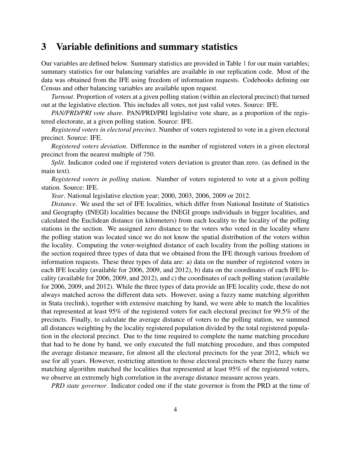#### 3 Variable definitions and summary statistics

Our variables are defined below. Summary statistics are provided in Table [1](#page-5-0) for our main variables; summary statistics for our balancing variables are available in our replication code. Most of the data was obtained from the IFE using freedom of information requests. Codebooks defining our Census and other balancing variables are available upon request.

*Turnout*. Proportion of voters at a given polling station (within an electoral precinct) that turned out at the legislative election. This includes all votes, not just valid votes. Source: IFE.

*PAN/PRD/PRI vote share*. PAN/PRD/PRI legislative vote share, as a proportion of the registered electorate, at a given polling station. Source: IFE.

*Registered voters in electoral precinct*. Number of voters registered to vote in a given electoral precinct. Source: IFE.

*Registered voters deviation*. Difference in the number of registered voters in a given electoral precinct from the nearest multiple of 750.

*Split*. Indicator coded one if registered voters deviation is greater than zero. (as defined in the main text).

*Registered voters in polling station*. Number of voters registered to vote at a given polling station. Source: IFE.

*Year*. National legislative election year; 2000, 2003, 2006, 2009 or 2012.

*Distance*. We used the set of IFE localities, which differ from National Institute of Statistics and Geography (INEGI) localities because the INEGI groups individuals in bigger localities, and calculated the Euclidean distance (in kilometers) from each locality to the locality of the polling stations in the section. We assigned zero distance to the voters who voted in the locality where the polling station was located since we do not know the spatial distribution of the voters within the locality. Computing the voter-weighted distance of each locality from the polling stations in the section required three types of data that we obtained from the IFE through various freedom of information requests. These three types of data are: a) data on the number of registered voters in each IFE locality (available for 2006, 2009, and 2012), b) data on the coordinates of each IFE locality (available for 2006, 2009, and 2012), and c) the coordinates of each polling station (available for 2006, 2009, and 2012). While the three types of data provide an IFE locality code, these do not always matched across the different data sets. However, using a fuzzy name matching algorithm in Stata (reclink), together with extensive matching by hand, we were able to match the localities that represented at least 95% of the registered voters for each electoral precinct for 99.5% of the precincts. Finally, to calculate the average distance of voters to the polling station, we summed all distances weighting by the locality registered population divided by the total registered population in the electoral precinct. Due to the time required to complete the name matching procedure that had to be done by hand, we only executed the full matching procedure, and thus computed the average distance measure, for almost all the electoral precincts for the year 2012, which we use for all years. However, restricting attention to those electoral precincts where the fuzzy name matching algorithm matched the localities that represented at least 95% of the registered voters, we observe an extremely high correlation in the average distance measure across years.

*PRD state governor*. Indicator coded one if the state governor is from the PRD at the time of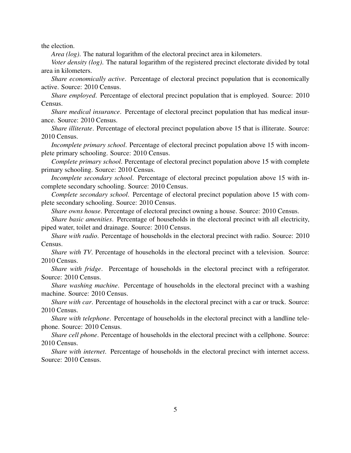the election.

*Area (log)*. The natural logarithm of the electoral precinct area in kilometers.

*Voter density (log)*. The natural logarithm of the registered precinct electorate divided by total area in kilometers.

*Share economically active*. Percentage of electoral precinct population that is economically active. Source: 2010 Census.

*Share employed*. Percentage of electoral precinct population that is employed. Source: 2010 Census.

*Share medical insurance*. Percentage of electoral precinct population that has medical insurance. Source: 2010 Census.

*Share illiterate*. Percentage of electoral precinct population above 15 that is illiterate. Source: 2010 Census.

*Incomplete primary school*. Percentage of electoral precinct population above 15 with incomplete primary schooling. Source: 2010 Census.

*Complete primary school*. Percentage of electoral precinct population above 15 with complete primary schooling. Source: 2010 Census.

*Incomplete secondary school*. Percentage of electoral precinct population above 15 with incomplete secondary schooling. Source: 2010 Census.

*Complete secondary school*. Percentage of electoral precinct population above 15 with complete secondary schooling. Source: 2010 Census.

*Share owns house*. Percentage of electoral precinct owning a house. Source: 2010 Census.

*Share basic amenities*. Percentage of households in the electoral precinct with all electricity, piped water, toilet and drainage. Source: 2010 Census.

*Share with radio*. Percentage of households in the electoral precinct with radio. Source: 2010 Census.

*Share with TV*. Percentage of households in the electoral precinct with a television. Source: 2010 Census.

*Share with fridge*. Percentage of households in the electoral precinct with a refrigerator. Source: 2010 Census.

*Share washing machine*. Percentage of households in the electoral precinct with a washing machine. Source: 2010 Census.

*Share with car*. Percentage of households in the electoral precinct with a car or truck. Source: 2010 Census.

*Share with telephone*. Percentage of households in the electoral precinct with a landline telephone. Source: 2010 Census.

*Share cell phone*. Percentage of households in the electoral precinct with a cellphone. Source: 2010 Census.

*Share with internet*. Percentage of households in the electoral precinct with internet access. Source: 2010 Census.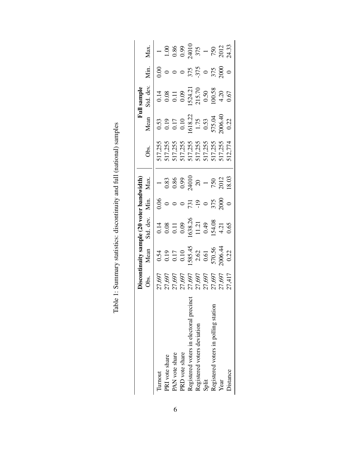<span id="page-5-0"></span>

|                                         |                                                              |                                                                              | uity sample (20 voter bandwidth)                                                  |                                    |                                                                                                                             |                                                                           | Ē                                                                                                                                 | sample                                                                                                                    |                                          |                                                                                                        |
|-----------------------------------------|--------------------------------------------------------------|------------------------------------------------------------------------------|-----------------------------------------------------------------------------------|------------------------------------|-----------------------------------------------------------------------------------------------------------------------------|---------------------------------------------------------------------------|-----------------------------------------------------------------------------------------------------------------------------------|---------------------------------------------------------------------------------------------------------------------------|------------------------------------------|--------------------------------------------------------------------------------------------------------|
|                                         |                                                              | Mean                                                                         |                                                                                   | Min.                               | Max                                                                                                                         | Obs.                                                                      | Mean                                                                                                                              | Std. dev.                                                                                                                 | Min.                                     | Max.                                                                                                   |
| <b>Turnout</b>                          |                                                              |                                                                              | Std. dev.<br>0.14<br>0.08<br>0.09<br>0.09<br>154.08<br>154.08<br>154.08<br>154.08 | 0.06                               | $\frac{1}{0.83}$<br>$\frac{0.85}{0.99}$<br>$\frac{0.99}{24010}$<br>$\frac{20}{750}$<br>$\frac{1}{750}$<br>$\frac{20}{2012}$ | 517,255<br>517,255<br>517,255<br>517,255<br>517,255<br>517,255<br>512,774 | $\begin{array}{r} 0.53 \\ 0.19 \\ 0.17 \\ 0.10 \\ 0.10 \\ 0.13 \\ 1.75 \\ 0.53 \\ 575.04 \\ 0.22 \\ 0.006.40 \\ 0.22 \end{array}$ |                                                                                                                           | $^{0.00}_{0.0}$                          |                                                                                                        |
| PRI vote share                          |                                                              |                                                                              |                                                                                   |                                    |                                                                                                                             |                                                                           |                                                                                                                                   |                                                                                                                           |                                          |                                                                                                        |
| PAN vote share                          | 27,697<br>27,697<br>27,697,697<br>27,697<br>27,417<br>27,417 | 0.54<br>0.19<br>0.17<br>0.10<br>0.585.45<br>2.62<br>570.56<br>570.56<br>0.22 |                                                                                   |                                    |                                                                                                                             |                                                                           |                                                                                                                                   | $\begin{array}{c} 0.14 \\ 0.08 \\ 0.11 \\ 0.09 \\ 0.09 \\ 1524.21 \\ 215.70 \\ 0.50 \\ 0.038 \\ 4.20 \\ 0.67 \end{array}$ |                                          | $\begin{array}{r} 1.000 \\ 1.0086 \\ 0.990 \\ 24010 \\ 375 \\ 750 \\ 750 \\ 2012 \\ 24.33 \end{array}$ |
| PRD vote share                          |                                                              |                                                                              |                                                                                   |                                    |                                                                                                                             |                                                                           |                                                                                                                                   |                                                                                                                           |                                          |                                                                                                        |
| Registered voters in electoral precinct |                                                              |                                                                              |                                                                                   |                                    |                                                                                                                             |                                                                           |                                                                                                                                   |                                                                                                                           |                                          |                                                                                                        |
| Registered voters deviation             |                                                              |                                                                              |                                                                                   |                                    |                                                                                                                             |                                                                           |                                                                                                                                   |                                                                                                                           |                                          |                                                                                                        |
| Split                                   |                                                              |                                                                              |                                                                                   |                                    |                                                                                                                             |                                                                           |                                                                                                                                   |                                                                                                                           |                                          |                                                                                                        |
| Registered voters in polling station    |                                                              |                                                                              |                                                                                   | $731$<br>$-19$<br>$-375$<br>$2000$ |                                                                                                                             |                                                                           |                                                                                                                                   |                                                                                                                           | $0$<br>375<br>-375<br>$0$<br>375<br>2000 |                                                                                                        |
| Year                                    |                                                              |                                                                              |                                                                                   |                                    |                                                                                                                             |                                                                           |                                                                                                                                   |                                                                                                                           |                                          |                                                                                                        |
| <b>Distance</b>                         |                                                              |                                                                              |                                                                                   |                                    |                                                                                                                             |                                                                           |                                                                                                                                   |                                                                                                                           |                                          |                                                                                                        |

Table 1: Summary statistics: discontinuity and full (national) samples Table 1: Summary statistics: discontinuity and full (national) samples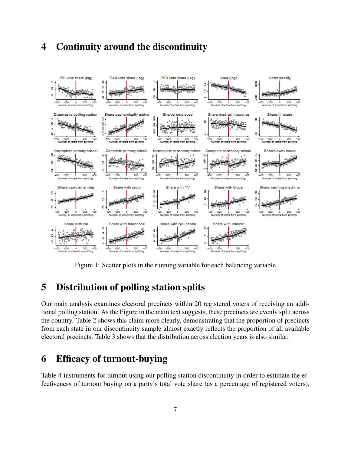# 4 Continuity around the discontinuity



Figure 1: Scatter plots in the running variable for each balancing variable

# 5 Distribution of polling station splits

Our main analysis examines electoral precincts within 20 registered voters of receiving an additional polling station. As the Figure in the main text suggests, these precincts are evenly split across the country. Table [2](#page-7-0) shows this claim more clearly, demonstrating that the proportion of precincts from each state in our discontinuity sample almost exactly reflects the proportion of all available electoral precincts. Table [3](#page-8-0) shows that the distribution across election years is also similar.

# 6 Efficacy of turnout-buying

Table [4](#page-8-1) instruments for turnout using our polling station discontinuity in order to estimate the effectiveness of turnout buying on a party's total vote share (as a percentage of registered voters).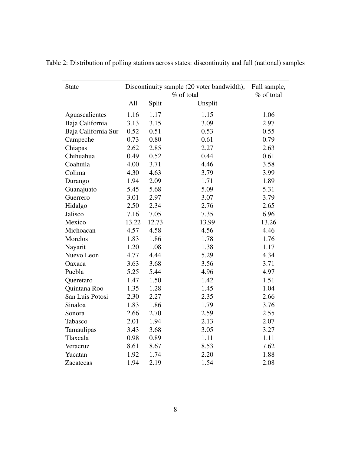| <b>State</b>        |       |       | Discontinuity sample (20 voter bandwidth),<br>% of total | Full sample,<br>% of total |
|---------------------|-------|-------|----------------------------------------------------------|----------------------------|
|                     | All   | Split | Unsplit                                                  |                            |
| Aguascalientes      | 1.16  | 1.17  | 1.15                                                     | 1.06                       |
| Baja California     | 3.13  | 3.15  | 3.09                                                     | 2.97                       |
| Baja California Sur | 0.52  | 0.51  | 0.53                                                     | 0.55                       |
| Campeche            | 0.73  | 0.80  | 0.61                                                     | 0.79                       |
| Chiapas             | 2.62  | 2.85  | 2.27                                                     | 2.63                       |
| Chihuahua           | 0.49  | 0.52  | 0.44                                                     | 0.61                       |
| Coahuila            | 4.00  | 3.71  | 4.46                                                     | 3.58                       |
| Colima              | 4.30  | 4.63  | 3.79                                                     | 3.99                       |
| Durango             | 1.94  | 2.09  | 1.71                                                     | 1.89                       |
| Guanajuato          | 5.45  | 5.68  | 5.09                                                     | 5.31                       |
| Guerrero            | 3.01  | 2.97  | 3.07                                                     | 3.79                       |
| Hidalgo             | 2.50  | 2.34  | 2.76                                                     | 2.65                       |
| Jalisco             | 7.16  | 7.05  | 7.35                                                     | 6.96                       |
| Mexico              | 13.22 | 12.73 | 13.99                                                    | 13.26                      |
| Michoacan           | 4.57  | 4.58  | 4.56                                                     | 4.46                       |
| Morelos             | 1.83  | 1.86  | 1.78                                                     | 1.76                       |
| Nayarit             | 1.20  | 1.08  | 1.38                                                     | 1.17                       |
| Nuevo Leon          | 4.77  | 4.44  | 5.29                                                     | 4.34                       |
| Oaxaca              | 3.63  | 3.68  | 3.56                                                     | 3.71                       |
| Puebla              | 5.25  | 5.44  | 4.96                                                     | 4.97                       |
| Queretaro           | 1.47  | 1.50  | 1.42                                                     | 1.51                       |
| Quintana Roo        | 1.35  | 1.28  | 1.45                                                     | 1.04                       |
| San Luis Potosi     | 2.30  | 2.27  | 2.35                                                     | 2.66                       |
| Sinaloa             | 1.83  | 1.86  | 1.79                                                     | 3.76                       |
| Sonora              | 2.66  | 2.70  | 2.59                                                     | 2.55                       |
| Tabasco             | 2.01  | 1.94  | 2.13                                                     | 2.07                       |
| Tamaulipas          | 3.43  | 3.68  | 3.05                                                     | 3.27                       |
| Tlaxcala            | 0.98  | 0.89  | 1.11                                                     | 1.11                       |
| Veracruz            | 8.61  | 8.67  | 8.53                                                     | 7.62                       |
| Yucatan             | 1.92  | 1.74  | 2.20                                                     | 1.88                       |
| Zacatecas           | 1.94  | 2.19  | 1.54                                                     | 2.08                       |

<span id="page-7-0"></span>Table 2: Distribution of polling stations across states: discontinuity and full (national) samples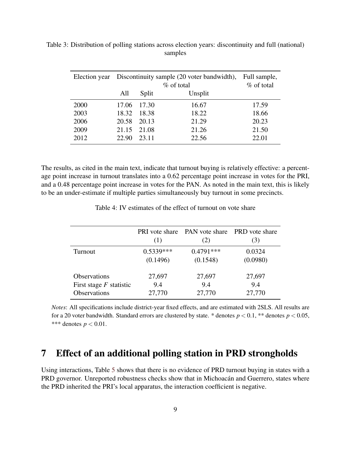|      |       |         | Election year Discontinuity sample (20 voter bandwidth), | Full sample, |
|------|-------|---------|----------------------------------------------------------|--------------|
|      |       |         | $\%$ of total                                            | $%$ of total |
|      | All   | Split   | Unsplit                                                  |              |
| 2000 | 17.06 | - 17.30 | 16.67                                                    | 17.59        |
| 2003 | 18.32 | 18.38   | 18.22                                                    | 18.66        |
| 2006 | 20.58 | 20.13   | 21.29                                                    | 20.23        |
| 2009 | 21.15 | 21.08   | 21.26                                                    | 21.50        |
| 2012 | 22.90 | 23.11   | 22.56                                                    | 22.01        |

<span id="page-8-0"></span>Table 3: Distribution of polling stations across election years: discontinuity and full (national) samples

The results, as cited in the main text, indicate that turnout buying is relatively effective: a percentage point increase in turnout translates into a 0.62 percentage point increase in votes for the PRI, and a 0.48 percentage point increase in votes for the PAN. As noted in the main text, this is likely to be an under-estimate if multiple parties simultaneously buy turnout in some precincts.

<span id="page-8-1"></span>

|                           | (1)         | <b>PRI</b> vote share PAN vote share PRD vote share<br>(2) | 3)       |
|---------------------------|-------------|------------------------------------------------------------|----------|
| Turnout                   | $0.5339***$ | $0.4791***$                                                | 0.0324   |
|                           | (0.1496)    | (0.1548)                                                   | (0.0980) |
| <b>Observations</b>       | 27,697      | 27,697                                                     | 27,697   |
| First stage $F$ statistic | 9.4         | 9.4                                                        | 9.4      |
| Observations              | 27,770      | 27,770                                                     | 27,770   |

Table 4: IV estimates of the effect of turnout on vote share

*Notes*: All specifications include district-year fixed effects, and are estimated with 2SLS. All results are for a 20 voter bandwidth. Standard errors are clustered by state. \* denotes  $p < 0.1$ , \*\* denotes  $p < 0.05$ , \*\*\* denotes  $p < 0.01$ .

## 7 Effect of an additional polling station in PRD strongholds

Using interactions, Table [5](#page-9-0) shows that there is no evidence of PRD turnout buying in states with a PRD governor. Unreported robustness checks show that in Michoacán and Guerrero, states where the PRD inherited the PRI's local apparatus, the interaction coefficient is negative.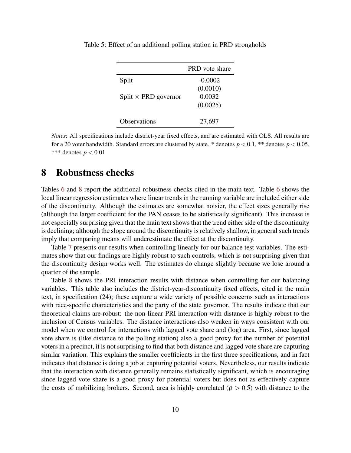|                             | <b>PRD</b> vote share |
|-----------------------------|-----------------------|
| Split                       | $-0.0002$             |
|                             | (0.0010)              |
| Split $\times$ PRD governor | 0.0032<br>(0.0025)    |
|                             |                       |
| <b>Observations</b>         | 27,697                |

<span id="page-9-0"></span>Table 5: Effect of an additional polling station in PRD strongholds

*Notes*: All specifications include district-year fixed effects, and are estimated with OLS. All results are for a 20 voter bandwidth. Standard errors are clustered by state. \* denotes  $p < 0.1$ , \*\* denotes  $p < 0.05$ , \*\*\* denotes  $p < 0.01$ .

#### 8 Robustness checks

Tables [6](#page-10-0) and [8](#page-12-0) report the additional robustness checks cited in the main text. Table [6](#page-10-0) shows the local linear regression estimates where linear trends in the running variable are included either side of the discontinuity. Although the estimates are somewhat noisier, the effect sizes generally rise (although the larger coefficient for the PAN ceases to be statistically significant). This increase is not especially surprising given that the main text shows that the trend either side of the discontinuity is declining; although the slope around the discontinuity is relatively shallow, in general such trends imply that comparing means will underestimate the effect at the discontinuity.

Table [7](#page-11-0) presents our results when controlling linearly for our balance test variables. The estimates show that our findings are highly robust to such controls, which is not surprising given that the discontinuity design works well. The estimates do change slightly because we lose around a quarter of the sample.

Table [8](#page-12-0) shows the PRI interaction results with distance when controlling for our balancing variables. This table also includes the district-year-discontinuity fixed effects, cited in the main text, in specification (24); these capture a wide variety of possible concerns such as interactions with race-specific characteristics and the party of the state governor. The results indicate that our theoretical claims are robust: the non-linear PRI interaction with distance is highly robust to the inclusion of Census variables. The distance interactions also weaken in ways consistent with our model when we control for interactions with lagged vote share and (log) area. First, since lagged vote share is (like distance to the polling station) also a good proxy for the number of potential voters in a precinct, it is not surprising to find that both distance and lagged vote share are capturing similar variation. This explains the smaller coefficients in the first three specifications, and in fact indicates that distance is doing a job at capturing potential voters. Nevertheless, our results indicate that the interaction with distance generally remains statistically significant, which is encouraging since lagged vote share is a good proxy for potential voters but does not as effectively capture the costs of mobilizing brokers. Second, area is highly correlated ( $\rho > 0.5$ ) with distance to the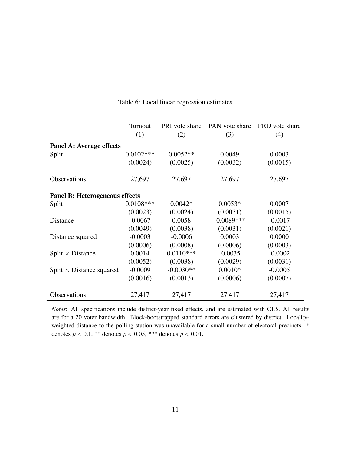<span id="page-10-0"></span>

|                                       | Turnout<br>(1) | PRI vote share<br>(2) | PAN vote share<br>(3) | PRD vote share<br>(4) |
|---------------------------------------|----------------|-----------------------|-----------------------|-----------------------|
| Panel A: Average effects              |                |                       |                       |                       |
| Split                                 | $0.0102***$    | $0.0052**$            | 0.0049                | 0.0003                |
|                                       | (0.0024)       | (0.0025)              | (0.0032)              | (0.0015)              |
| Observations                          | 27,697         | 27,697                | 27,697                | 27,697                |
| <b>Panel B: Heterogeneous effects</b> |                |                       |                       |                       |
| Split                                 | $0.0108***$    | $0.0042*$             | $0.0053*$             | 0.0007                |
|                                       | (0.0023)       | (0.0024)              | (0.0031)              | (0.0015)              |
| Distance                              | $-0.0067$      | 0.0058                | $-0.0089$ ***         | $-0.0017$             |
|                                       | (0.0049)       | (0.0038)              | (0.0031)              | (0.0021)              |
| Distance squared                      | $-0.0003$      | $-0.0006$             | 0.0003                | 0.0000                |
|                                       | (0.0006)       | (0.0008)              | (0.0006)              | (0.0003)              |
| Split $\times$ Distance               | 0.0014         | $0.0110***$           | $-0.0035$             | $-0.0002$             |
|                                       | (0.0052)       | (0.0038)              | (0.0029)              | (0.0031)              |
| Split $\times$ Distance squared       | $-0.0009$      | $-0.0030**$           | $0.0010*$             | $-0.0005$             |
|                                       | (0.0016)       | (0.0013)              | (0.0006)              | (0.0007)              |
| Observations                          | 27,417         | 27,417                | 27,417                | 27,417                |

Table 6: Local linear regression estimates

*Notes*: All specifications include district-year fixed effects, and are estimated with OLS. All results are for a 20 voter bandwidth. Block-bootstrapped standard errors are clustered by district. Localityweighted distance to the polling station was unavailable for a small number of electoral precincts. \* denotes  $p < 0.1$ , \*\* denotes  $p < 0.05$ , \*\*\* denotes  $p < 0.01$ .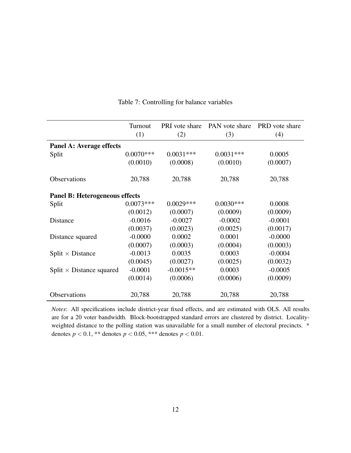<span id="page-11-0"></span>

|                                       | Turnout<br>(1) | PRI vote share<br>(2) | PAN vote share<br>(3) | PRD vote share<br>(4) |
|---------------------------------------|----------------|-----------------------|-----------------------|-----------------------|
| Panel A: Average effects              |                |                       |                       |                       |
| Split                                 | $0.0070***$    | $0.0031***$           | $0.0031***$           | 0.0005                |
|                                       |                |                       |                       |                       |
|                                       | (0.0010)       | (0.0008)              | (0.0010)              | (0.0007)              |
| Observations                          | 20,788         | 20,788                | 20,788                | 20,788                |
|                                       |                |                       |                       |                       |
| <b>Panel B: Heterogeneous effects</b> |                |                       |                       |                       |
| Split                                 | $0.0073***$    | $0.0029***$           | $0.0030***$           | 0.0008                |
|                                       | (0.0012)       | (0.0007)              | (0.0009)              | (0.0009)              |
| <b>Distance</b>                       | $-0.0016$      | $-0.0027$             | $-0.0002$             | $-0.0001$             |
|                                       | (0.0037)       | (0.0023)              | (0.0025)              | (0.0017)              |
| Distance squared                      | $-0.0000$      | 0.0002                | 0.0001                | $-0.0000$             |
|                                       | (0.0007)       | (0.0003)              | (0.0004)              | (0.0003)              |
| Split $\times$ Distance               | $-0.0013$      | 0.0035                | 0.0003                | $-0.0004$             |
|                                       | (0.0045)       | (0.0027)              | (0.0025)              | (0.0032)              |
| Split $\times$ Distance squared       | $-0.0001$      | $-0.0015**$           | 0.0003                | $-0.0005$             |
|                                       | (0.0014)       | (0.0006)              | (0.0006)              | (0.0009)              |
| Observations                          | 20,788         | 20,788                | 20,788                | 20,788                |

Table 7: Controlling for balance variables

*Notes*: All specifications include district-year fixed effects, and are estimated with OLS. All results are for a 20 voter bandwidth. Block-bootstrapped standard errors are clustered by district. Localityweighted distance to the polling station was unavailable for a small number of electoral precincts. \* denotes  $p < 0.1$ , \*\* denotes  $p < 0.05$ , \*\*\* denotes  $p < 0.01$ .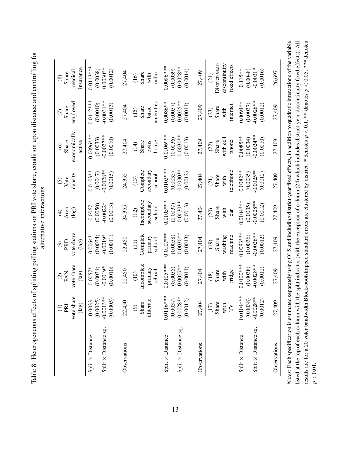<span id="page-12-0"></span>

|                             | $\widehat{\ominus}$          | $\widehat{\infty}$              | $\odot$                                | $\widehat{\mathfrak{t}}$ | $\odot$      | $\circledcirc$         | $\widehat{C}$ | $\circledast$        |
|-----------------------------|------------------------------|---------------------------------|----------------------------------------|--------------------------|--------------|------------------------|---------------|----------------------|
|                             | PRI                          | PAN                             | PRD                                    | Area                     | Voter        | Share                  | Share         | Share                |
|                             | vote share<br>$(\text{lag})$ | vote share<br>(a <sub>g</sub> ) | vote share<br>(lag)                    | (log)                    | density      | economically<br>active | employed      | insurance<br>medical |
| Split $\times$ Distance     | 0.0033                       | $0.0057*$                       | $0.0064*$                              | 0.0067                   | $0.0103***$  | $0.0096***$            | $0.0112***$   | $0.0113***$          |
|                             | (0.0025)                     | (0.0034)                        | (0.0034)                               | (0.0050)                 | (0.0047)     | (0.0033)               | (0.0040)      | (0.0038)             |
| $Split \times Distance$ sq. | $-0.0013**$                  | $-0.0019*$                      | $-0.0019*$                             | $-0.0022*$               | $-0.0028***$ | $-0.0027**$            | $-0.0031**$   | $0.0030**$           |
|                             | (0.0005)                     | (0.0010)                        | (0.0011)                               | (0.0013)                 | (0.0015)     | (0.0010)               | (0.0013)      | (0.0012)             |
| Observations                | 22,450                       | 22,450                          | 22,450                                 | 24,355                   | 24,355       | 27,404                 | 27,404        | 27,404               |
|                             | $\widehat{\Theta}$           | (10)                            | $\begin{pmatrix} 1 \\ 1 \end{pmatrix}$ | (12)                     | (13)         | (14)                   | (15)          | (16)                 |
|                             | Share                        | Incomplete                      | Complete                               | Incomplete               | Complete     | Share                  | Share         | Share                |
|                             | illiterate                   | primary                         | primary                                | secondary                | secondary    | owns                   | basic         | with                 |
|                             |                              | school                          | school                                 | school                   | school       | house                  | amenities     | radio                |
| $Split \times Distance$     | $0.0116***$                  | $0.0105***$                     | $0.0107***$                            | $0.0105***$              | $0.0103***$  | $0.0106***$            | $0.0086***$   | $0.0096***$          |
|                             | (0.0037)                     | (0.0035)                        | (0.0038)                               | (0.0037)                 | (0.0035)     | (0.0036)               | (0.0037)      | (0.0039)             |
| Split $\times$ Distance sq. | $-0.0028**$                  | $-0.0027$ **                    | $-0.0030**$                            | $-0.0030**$              | $-0.0030**$  | $-0.0030**$            | $-0.0025**$   | $-0.0028**$          |
|                             | (0.0012)                     | (0.0011)                        | (0.0013)                               | (0.0013)                 | (0.0012)     | (0.0013)               | (0.0011)      | (0.0014)             |
| Observations                | 27,404                       | 27,404                          | 27,404                                 | 27,404                   | 27,404       | 27,409                 | 27,409        | 27,409               |
|                             | (17)                         | (18)                            | (19)                                   | (20)                     | (21)         | (22)                   | (23)          | (24)                 |
|                             | Share                        | Share                           | Share                                  | Share                    | Share        | Share                  | Share         | District-year-       |
|                             | with                         | with                            | washing                                | with                     | with         | with cell              | with          | discontinuity        |
|                             | $\Gamma$                     | fridge                          | machine                                | cat                      | telephone    | phone                  | internet      | fixed effects        |
| $Split \times Distance$     | $0.0104***$                  | $0.0100***$                     | $0.0093***$                            | $0.0104***$              | $0.0082***$  | $0.0085***$            | $0.0094**$    | $0.115***$           |
|                             | (0.0038)                     | (0.0038)                        | (0.0036)                               | (0.0035)                 | (0.0035)     | (0.0034)               | (0.0037)      | (0.0048)             |
| Split $\times$ Distance sq. | $-0.0028**$                  | $-0.0028**$                     | $-0.0026**$                            | $-0.0028**$              | $-0.0025**$  | $-0.0024**$            | $-0.0026**$   | $-0.0031*$           |
|                             | (0.0012)                     | (0.0012)                        | (0.0012)                               | (0.0012)                 | (0.0012)     | (0.0010)               | (0.0012)      | (0.0016)             |
| Observations                | 27,409                       | 27,409                          | 27,409                                 | 27,409                   | 27,409       | 27,409                 | 27,409        | 26,697               |

*p*

 $< 0.1$ , \*\* denotes

*p* V

 $< 0.05$ , \*\*\* denotes

results are for a 20 voter bandwidth.Block-bootstrapped standard errors are clustered by district. \* denotes

*p*  $\leq 0.01$ .

Table 8: Heterogeneous effects of splitting polling stations on PRI vote share, condition upon distance and controlling for Table 8: Heterogeneous effects of splitting polling stations on PRI vote share, condition upon distance and controlling for